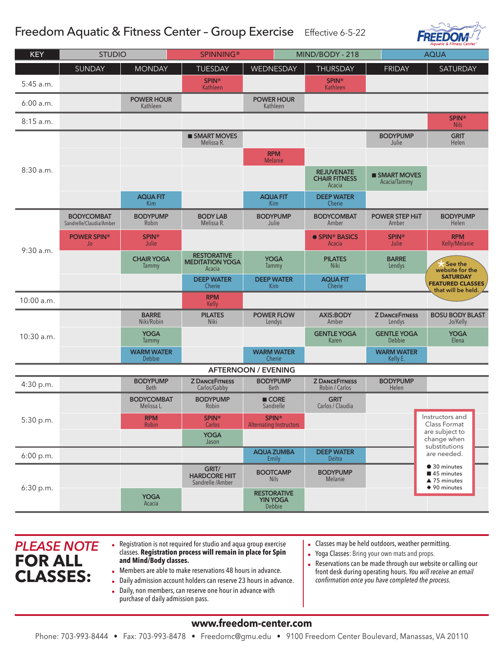## Freedom Aquatic & Fitness Center – Group ExerciseEffective 6-5-22



| <b>KEY</b>                 | <b>STUDIO</b>                                |                                 | <b>SPINNING®</b>                                       | MIND/BODY - 218                                 |                                                     | <b>AQUA</b>                     |                                                                                    |  |
|----------------------------|----------------------------------------------|---------------------------------|--------------------------------------------------------|-------------------------------------------------|-----------------------------------------------------|---------------------------------|------------------------------------------------------------------------------------|--|
|                            | SUNDAY                                       | <b>MONDAY</b>                   | <b>TUESDAY</b>                                         | WEDNESDAY                                       | <b>THURSDAY</b>                                     | <b>FRIDAY</b>                   | SATURDAY                                                                           |  |
| $5:45$ a.m.                |                                              |                                 | <b>SPIN®</b><br>Kathleen                               |                                                 | <b>SPIN®</b><br>Kathleen                            |                                 |                                                                                    |  |
| 6:00 a.m.                  |                                              | <b>POWER HOUR</b><br>Kathleen   |                                                        | <b>POWER HOUR</b><br>Kathleen                   |                                                     |                                 |                                                                                    |  |
| $8:15$ a.m.                |                                              |                                 |                                                        |                                                 |                                                     |                                 | <b>SPIN®</b><br><b>Nils</b>                                                        |  |
| 8:30 a.m.                  |                                              |                                 | <b>SMART MOVES</b><br>Melissa R.                       |                                                 |                                                     | <b>BODYPUMP</b><br>Julie        | <b>GRIT</b><br>Helen                                                               |  |
|                            |                                              |                                 |                                                        | <b>RPM</b><br><b>Melanie</b>                    |                                                     |                                 |                                                                                    |  |
|                            |                                              |                                 |                                                        |                                                 | <b>REJUVENATE</b><br><b>CHAIR FITNESS</b><br>Acacia | SMART MOVES<br>Acacia/Tammy     |                                                                                    |  |
|                            |                                              | <b>AQUA FIT</b><br><b>Kim</b>   |                                                        | <b>AQUA FIT</b><br>Kim                          | <b>DEEP WATER</b><br>Cherie                         |                                 |                                                                                    |  |
| $9:30$ a.m.                | <b>BODYCOMBAT</b><br>Sandrelle/Claudia/Amber | <b>BODYPUMP</b><br>Robin        | <b>BODY LAB</b><br>Melissa R.                          | <b>BODYPUMP</b><br>Julie                        | <b>BODYCOMBAT</b><br>Amber                          | <b>POWER STEP HiIT</b><br>Amber | <b>BODYPUMP</b><br>Helen                                                           |  |
|                            | <b>POWER SPIN®</b><br>Jo                     | <b>SPIN®</b><br>Julie           |                                                        |                                                 | • SPIN® BASICS<br>Acacia                            | <b>SPIN®</b><br>Julie           | <b>RPM</b><br>Kelly/Melanie                                                        |  |
|                            |                                              | <b>CHAIR YOGA</b><br>Tammy      | <b>RESTORATIVE</b><br><b>MEDITATION YOGA</b><br>Acacia | <b>YOGA</b><br>Tammy                            | <b>PILATES</b><br><b>Niki</b>                       | <b>BARRE</b><br>Lendys          | See the<br>website for the                                                         |  |
|                            |                                              |                                 | <b>DEEP WATER</b><br>Cherie                            | <b>DEEP WATER</b><br>Kim                        | <b>AQUA FIT</b><br>Cherie                           |                                 | <b>SATURDAY</b><br><b>FEATURED CLASSES</b><br>that will be held.                   |  |
| 10:00 a.m.                 |                                              |                                 | <b>RPM</b><br>Kelly                                    |                                                 |                                                     |                                 |                                                                                    |  |
| $10:30$ a.m.               |                                              | <b>BARRE</b><br>Niki/Robin      | <b>PILATES</b><br>Niki                                 | <b>POWER FLOW</b><br>Lendys                     | <b>AXIS:BODY</b><br>Amber                           | <b>Z DANCEFITNESS</b><br>Lendys | <b>BOSU BODY BLAST</b><br>Jo/Kelly                                                 |  |
|                            |                                              | <b>YOGA</b><br>Tammy            |                                                        |                                                 | <b>GENTLE YOGA</b><br>Karen                         | <b>GENTLE YOGA</b><br>Debbie    | <b>YOGA</b><br>Elena                                                               |  |
|                            |                                              | <b>WARM WATER</b><br>Debbie     |                                                        | <b>WARM WATER</b><br>Cherie                     |                                                     | <b>WARM WATER</b><br>Kelly E.   |                                                                                    |  |
| <b>AFTERNOON / EVENING</b> |                                              |                                 |                                                        |                                                 |                                                     |                                 |                                                                                    |  |
| 4:30 p.m.                  |                                              | <b>BODYPUMP</b><br><b>Beth</b>  | <b>Z DANCEFITNESS</b><br>Carlos/Gabby                  | <b>BODYPUMP</b><br><b>Beth</b>                  | <b>Z DANCEFITNESS</b><br>Robin / Carlos             | <b>BODYPUMP</b><br>Helen        |                                                                                    |  |
| 5:30 p.m.                  |                                              | <b>BODYCOMBAT</b><br>Melissa L. | <b>BODYPUMP</b><br>Robin                               | $\blacksquare$ CORE<br>Sandrelle                | <b>GRIT</b><br>Carlos / Claudia                     |                                 |                                                                                    |  |
|                            |                                              | <b>RPM</b><br>Robin             | <b>SPIN®</b><br>Carlos                                 | <b>SPIN®</b><br><b>Alternating Instructors</b>  |                                                     |                                 | Instructors and<br>Class Format<br>are subject to                                  |  |
|                            |                                              |                                 | <b>YOGA</b><br>Jason                                   |                                                 |                                                     |                                 | change when<br>substitutions                                                       |  |
| 6:00 p.m.                  |                                              |                                 |                                                        | <b>AQUA ZUMBA</b><br>Emily                      | <b>DEEP WATER</b><br>Deitra                         |                                 | are needed.                                                                        |  |
| 6:30 p.m.                  |                                              |                                 | GRIT/<br><b>HARDCORE HIIT</b><br>Sandrelle /Amber      | <b>BOOTCAMP</b><br><b>Nils</b>                  | <b>BODYPUMP</b><br>Melanie                          |                                 | ● 30 minutes<br>45 minutes<br>$\triangle$ 75 minutes<br>$\blacklozenge$ 90 minutes |  |
|                            |                                              | <b>YOGA</b><br>Acacia           |                                                        | <b>RESTORATIVE</b><br><b>YIN YOGA</b><br>Debbie |                                                     |                                 |                                                                                    |  |

- *PLEASE NOTE*  **FOR ALL CLASSES:**
- Registration is not required for studio and aqua group exercise classes. **Registration process will remain in place for Spin and Mind/Body classes.**
- Members are able to make reservations 48 hours in advance.
- Daily admission account holders can reserve 23 hours in advance.
- Daily, non members, can reserve one hour in advance with purchase of daily admission pass.
- Classes may be held outdoors, weather permitting.
- Yoga Classes: Bring your own mats and props.
- Reservations can be made through our website or calling our front desk during operating hours. *You will receive an email confirmation once you have completed the process.*